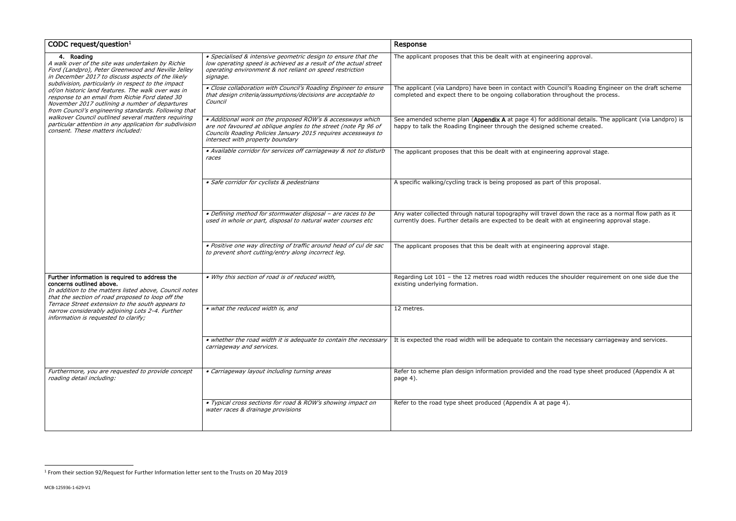$\overline{a}$ 

ering approval. dditional details. The applicant (via Landpro) is happe the Foreated. ering approval stage.  $\overline{\text{t}}$  of this proposal. vel down the race as a normal flow path as it with at engineering approval stage. ering approval stage. he shoulder requirement on one side due the the necessary carriageway and services. e road type sheet produced (Appendix A at  $log e$  4).

| CODC request/question $1$                                                                                                                                                                                                                                                                                                                                                                                                                                                                                                                                                                                             |                                                                                                                                                                                                                                    | Response                                                                                                                                                                                             |
|-----------------------------------------------------------------------------------------------------------------------------------------------------------------------------------------------------------------------------------------------------------------------------------------------------------------------------------------------------------------------------------------------------------------------------------------------------------------------------------------------------------------------------------------------------------------------------------------------------------------------|------------------------------------------------------------------------------------------------------------------------------------------------------------------------------------------------------------------------------------|------------------------------------------------------------------------------------------------------------------------------------------------------------------------------------------------------|
| $\overline{4}$ . Roading<br>A walk over of the site was undertaken by Richie<br>Ford (Landpro), Peter Greenwood and Neville Jelley<br>in December 2017 to discuss aspects of the likely<br>subdivision, particularly in respect to the impact<br>of/on historic land features. The walk over was in<br>response to an email from Richie Ford dated 30<br>November 2017 outlining a number of departures<br>from Council's engineering standards. Following that<br>walkover Council outlined several matters requiring<br>particular attention in any application for subdivision<br>consent. These matters included: | · Specialised & intensive geometric design to ensure that the<br>low operating speed is achieved as a result of the actual street<br>operating environment & not reliant on speed restriction<br>signage.                          | The applicant proposes that this be dealt with at engineering approval.                                                                                                                              |
|                                                                                                                                                                                                                                                                                                                                                                                                                                                                                                                                                                                                                       | • Close collaboration with Council's Roading Engineer to ensure<br>that design criteria/assumptions/decisions are acceptable to<br>Council                                                                                         | The applicant (via Landpro) have been in contact with Council's Roading Engineer on the draft scheme<br>completed and expect there to be ongoing collaboration throughout the process.               |
|                                                                                                                                                                                                                                                                                                                                                                                                                                                                                                                                                                                                                       | · Additional work on the proposed ROW's & accessways which<br>are not favoured at oblique angles to the street (note Pg 96 of<br>Councils Roading Policies January 2015 requires accessways to<br>intersect with property boundary | See amended scheme plan (Appendix A at page 4) for additional details. The applicant (via Landpro) is<br>happy to talk the Roading Engineer through the designed scheme created.                     |
|                                                                                                                                                                                                                                                                                                                                                                                                                                                                                                                                                                                                                       | • Available corridor for services off carriageway & not to disturb<br>races                                                                                                                                                        | The applicant proposes that this be dealt with at engineering approval stage.                                                                                                                        |
|                                                                                                                                                                                                                                                                                                                                                                                                                                                                                                                                                                                                                       | · Safe corridor for cyclists & pedestrians                                                                                                                                                                                         | A specific walking/cycling track is being proposed as part of this proposal.                                                                                                                         |
|                                                                                                                                                                                                                                                                                                                                                                                                                                                                                                                                                                                                                       | · Defining method for stormwater disposal - are races to be<br>used in whole or part, disposal to natural water courses etc                                                                                                        | Any water collected through natural topography will travel down the race as a normal flow path as it<br>currently does. Further details are expected to be dealt with at engineering approval stage. |
|                                                                                                                                                                                                                                                                                                                                                                                                                                                                                                                                                                                                                       | · Positive one way directing of traffic around head of cul de sac<br>to prevent short cutting/entry along incorrect leg.                                                                                                           | The applicant proposes that this be dealt with at engineering approval stage.                                                                                                                        |
| Further information is required to address the<br>concerns outlined above.<br>In addition to the matters listed above, Council notes<br>that the section of road proposed to loop off the<br>Terrace Street extension to the south appears to<br>narrow considerably adjoining Lots 2-4. Further<br>information is requested to clarify;                                                                                                                                                                                                                                                                              | . Why this section of road is of reduced width,                                                                                                                                                                                    | Regarding Lot 101 - the 12 metres road width reduces the shoulder requirement on one side due the<br>existing underlying formation.                                                                  |
|                                                                                                                                                                                                                                                                                                                                                                                                                                                                                                                                                                                                                       | • what the reduced width is, and                                                                                                                                                                                                   | 12 metres.                                                                                                                                                                                           |
|                                                                                                                                                                                                                                                                                                                                                                                                                                                                                                                                                                                                                       | • whether the road width it is adequate to contain the necessary<br>carriageway and services.                                                                                                                                      | It is expected the road width will be adequate to contain the necessary carriageway and services.                                                                                                    |
| Furthermore, you are requested to provide concept<br>roading detail including:                                                                                                                                                                                                                                                                                                                                                                                                                                                                                                                                        | • Carriageway layout including turning areas                                                                                                                                                                                       | Refer to scheme plan design information provided and the road type sheet produced (Appendix A at<br>page 4).                                                                                         |
|                                                                                                                                                                                                                                                                                                                                                                                                                                                                                                                                                                                                                       | • Typical cross sections for road & ROW's showing impact on<br>water races & drainage provisions                                                                                                                                   | Refer to the road type sheet produced (Appendix A at page 4).                                                                                                                                        |

<sup>&</sup>lt;sup>1</sup> From their section 92/Request for Further Information letter sent to the Trusts on 20 May 2019